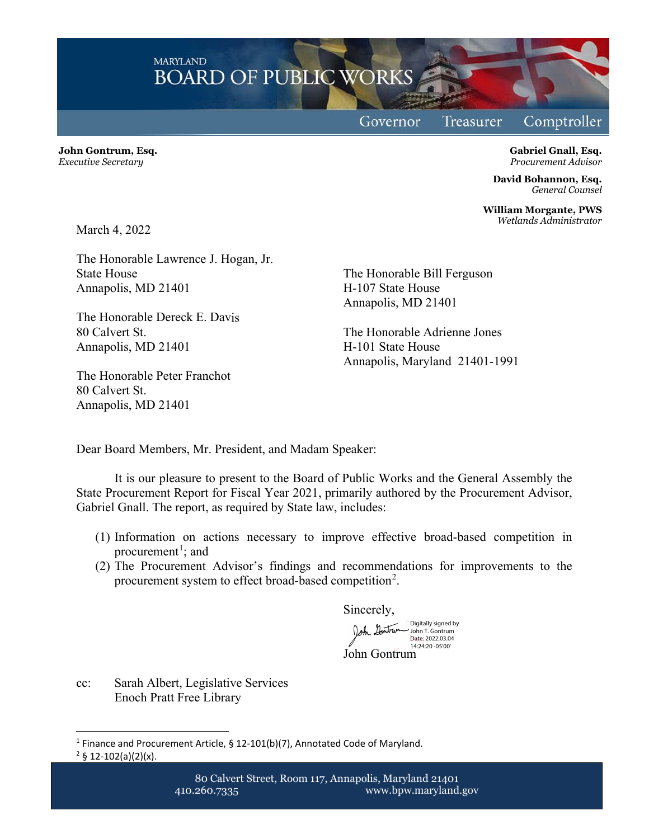**MARYLAND BOARD OF PUBLIC WORKS** 

Governor

Treasurer

Comptroller

**John Gontrum, Esq.** *Executive Secretary*

**Gabriel Gnall, Esq.** *Procurement Advisor*

**David Bohannon, Esq.** *General Counsel*

**William Morgante, PWS** *Wetlands Administrator*

March 4, 2022

The Honorable Lawrence J. Hogan, Jr. State House Annapolis, MD 21401

The Honorable Dereck E. Davis 80 Calvert St. Annapolis, MD 21401

The Honorable Peter Franchot 80 Calvert St. Annapolis, MD 21401

The Honorable Bill Ferguson H-107 State House Annapolis, MD 21401

The Honorable Adrienne Jones H-101 State House Annapolis, Maryland 21401-1991

Dear Board Members, Mr. President, and Madam Speaker:

It is our pleasure to present to the Board of Public Works and the General Assembly the State Procurement Report for Fiscal Year 2021, primarily authored by the Procurement Advisor, Gabriel Gnall. The report, as required by State law, includes:

- (1) Information on actions necessary to improve effective broad-based competition in procurement<sup>[1](#page-0-0)</sup>; and
- (2) The Procurement Advisor's findings and recommendations for improvements to the procurement system to effect broad-based competition<sup>[2](#page-0-1)</sup>.

Sincerely,

John Gontrum Digitally signed by John T. Gontrum Date: 2022.03.04 14:24:20 -05'00'

cc: Sarah Albert, Legislative Services Enoch Pratt Free Library

<span id="page-0-1"></span><span id="page-0-0"></span><sup>&</sup>lt;sup>1</sup> Finance and Procurement Article, § 12-101(b)(7), Annotated Code of Maryland.  $2 \S 12 - 102(a)(2)(x)$ .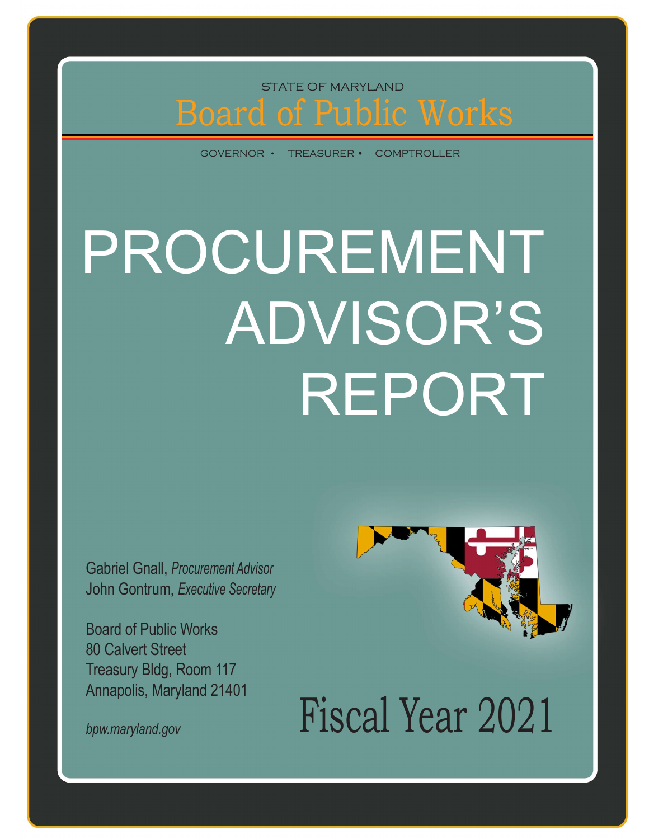# Board of Public Works STATE OF MARYLAND<br>Oard of Public Works STATE OF MARYLAND

GOVERNOR · TREASURER · COMPTROLLER

## PROCUREMENT ADVISOR'S REPORT

Gabriel Gnall, Procurement Advisor John Gontrum, Executive Secretary

Board of Public Works 80 Calvert Street Treasury Bldg, Room 117 Annapolis, Maryland 21401



bpw.maryland.gov  $F{\rm iscal\;Year}$  2021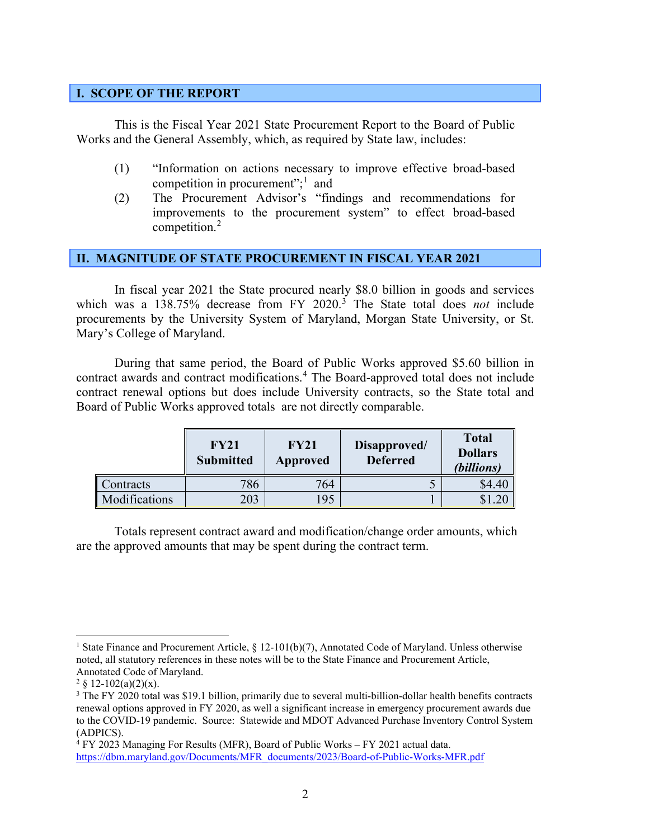#### <span id="page-3-0"></span>**I. SCOPE OF THE REPORT**

This is the Fiscal Year 2021 State Procurement Report to the Board of Public Works and the General Assembly, which, as required by State law, includes:

- (1) "Information on actions necessary to improve effective broad-based competition in procurement";<sup>[1](#page-3-2)</sup> and
- (2) The Procurement Advisor's "findings and recommendations for improvements to the procurement system" to effect broad-based competition.<sup>[2](#page-3-3)</sup>

#### <span id="page-3-1"></span>**II. MAGNITUDE OF STATE PROCUREMENT IN FISCAL YEAR 2021**

In fiscal year 2021 the State procured nearly \$8.0 billion in goods and services which was a 138.75% decrease from FY 2020. [3](#page-3-4) The State total does *not* include procurements by the University System of Maryland, Morgan State University, or St. Mary's College of Maryland.

During that same period, the Board of Public Works approved \$5.60 billion in contract awards and contract modifications. [4](#page-3-5) The Board-approved total does not include contract renewal options but does include University contracts, so the State total and Board of Public Works approved totals are not directly comparable.

|                      | <b>FY21</b><br><b>Submitted</b> | <b>FY21</b><br>Approved | Disapproved/<br><b>Deferred</b> | <b>Total</b><br><b>Dollars</b><br>(billions) |
|----------------------|---------------------------------|-------------------------|---------------------------------|----------------------------------------------|
| Contracts            | 786                             | 764                     |                                 | \$4.40                                       |
| <b>Modifications</b> | 203                             | 195                     |                                 |                                              |

Totals represent contract award and modification/change order amounts, which are the approved amounts that may be spent during the contract term.

<span id="page-3-2"></span><sup>&</sup>lt;sup>1</sup> State Finance and Procurement Article, § 12-101(b)(7), Annotated Code of Maryland. Unless otherwise noted, all statutory references in these notes will be to the State Finance and Procurement Article, Annotated Code of Maryland.

<span id="page-3-3"></span><sup>&</sup>lt;sup>2</sup> § 12-102(a)(2)(x).

<span id="page-3-4"></span><sup>&</sup>lt;sup>3</sup> The FY 2020 total was \$19.1 billion, primarily due to several multi-billion-dollar health benefits contracts renewal options approved in FY 2020, as well a significant increase in emergency procurement awards due to the COVID-19 pandemic. Source: Statewide and MDOT Advanced Purchase Inventory Control System (ADPICS).

<span id="page-3-5"></span><sup>4</sup> FY 2023 Managing For Results (MFR), Board of Public Works – FY 2021 actual data. [https://dbm.maryland.gov/Documents/MFR\\_documents/2023/Board-of-Public-Works-MFR.pdf](https://dbm.maryland.gov/Documents/MFR_documents/2023/Board-of-Public-Works-MFR.pdf)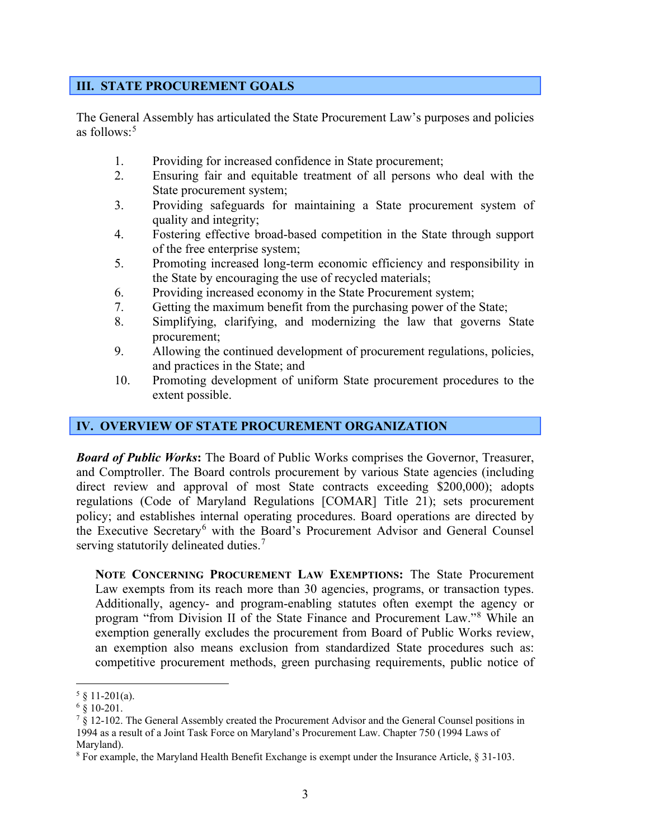#### <span id="page-4-0"></span>**III. STATE PROCUREMENT GOALS**

The General Assembly has articulated the State Procurement Law's purposes and policies as follows: [5](#page-4-2)

- 1. Providing for increased confidence in State procurement;
- 2. Ensuring fair and equitable treatment of all persons who deal with the State procurement system;
- 3. Providing safeguards for maintaining a State procurement system of quality and integrity;
- 4. Fostering effective broad-based competition in the State through support of the free enterprise system;
- 5. Promoting increased long-term economic efficiency and responsibility in the State by encouraging the use of recycled materials;
- 6. Providing increased economy in the State Procurement system;
- 7. Getting the maximum benefit from the purchasing power of the State;
- 8. Simplifying, clarifying, and modernizing the law that governs State procurement;
- 9. Allowing the continued development of procurement regulations, policies, and practices in the State; and
- 10. Promoting development of uniform State procurement procedures to the extent possible.

#### <span id="page-4-1"></span>**IV. OVERVIEW OF STATE PROCUREMENT ORGANIZATION**

*Board of Public Works***:** The Board of Public Works comprises the Governor, Treasurer, and Comptroller. The Board controls procurement by various State agencies (including direct review and approval of most State contracts exceeding \$200,000); adopts regulations (Code of Maryland Regulations [COMAR] Title 21); sets procurement policy; and establishes internal operating procedures. Board operations are directed by the Executive Secretary<sup>[6](#page-4-3)</sup> with the Board's Procurement Advisor and General Counsel serving statutorily delineated duties.<sup>[7](#page-4-4)</sup>

**NOTE CONCERNING PROCUREMENT LAW EXEMPTIONS:** The State Procurement Law exempts from its reach more than 30 agencies, programs, or transaction types. Additionally, agency- and program-enabling statutes often exempt the agency or program "from Division II of the State Finance and Procurement Law."[8](#page-4-5) While an exemption generally excludes the procurement from Board of Public Works review, an exemption also means exclusion from standardized State procedures such as: competitive procurement methods, green purchasing requirements, public notice of

<span id="page-4-2"></span> $5 \& 11 - 201(a)$ .

<span id="page-4-3"></span> $6 \times 10-201$ .

<span id="page-4-4"></span> $\frac{7}{8}$  12-102. The General Assembly created the Procurement Advisor and the General Counsel positions in 1994 as a result of a Joint Task Force on Maryland's Procurement Law. Chapter 750 (1994 Laws of Maryland).

<span id="page-4-5"></span><sup>8</sup> For example, the Maryland Health Benefit Exchange is exempt under the Insurance Article, § 31-103.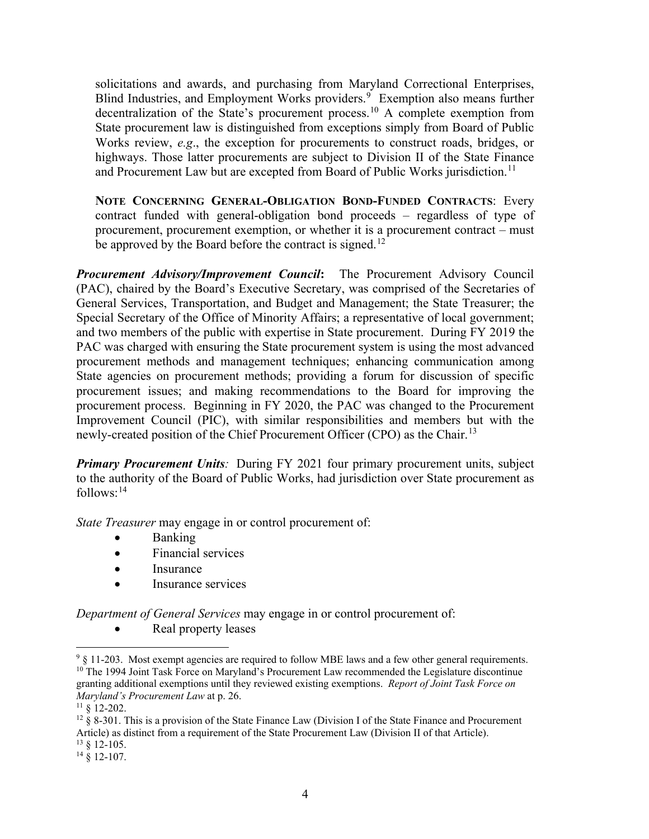solicitations and awards, and purchasing from Maryland Correctional Enterprises, Blind Industries, and Employment Works providers.<sup>[9](#page-5-0)</sup> Exemption also means further decentralization of the State's procurement process.<sup>[10](#page-5-1)</sup> A complete exemption from State procurement law is distinguished from exceptions simply from Board of Public Works review, *e.g*., the exception for procurements to construct roads, bridges, or highways. Those latter procurements are subject to Division II of the State Finance and Procurement Law but are excepted from Board of Public Works jurisdiction.<sup>[11](#page-5-2)</sup>

**NOTE CONCERNING GENERAL-OBLIGATION BOND-FUNDED CONTRACTS**: Every contract funded with general-obligation bond proceeds – regardless of type of procurement, procurement exemption, or whether it is a procurement contract – must be approved by the Board before the contract is signed.<sup>[12](#page-5-3)</sup>

*Procurement Advisory/Improvement Council***:** The Procurement Advisory Council (PAC), chaired by the Board's Executive Secretary, was comprised of the Secretaries of General Services, Transportation, and Budget and Management; the State Treasurer; the Special Secretary of the Office of Minority Affairs; a representative of local government; and two members of the public with expertise in State procurement. During FY 2019 the PAC was charged with ensuring the State procurement system is using the most advanced procurement methods and management techniques; enhancing communication among State agencies on procurement methods; providing a forum for discussion of specific procurement issues; and making recommendations to the Board for improving the procurement process. Beginning in FY 2020, the PAC was changed to the Procurement Improvement Council (PIC), with similar responsibilities and members but with the newly-created position of the Chief Procurement Officer (CPO) as the Chair.<sup>[13](#page-5-4)</sup>

**Primary Procurement Units**: During FY 2021 four primary procurement units, subject to the authority of the Board of Public Works, had jurisdiction over State procurement as follows: [14](#page-5-5) 

*State Treasurer* may engage in or control procurement of:

- Banking
- Financial services
- Insurance
- Insurance services

*Department of General Services* may engage in or control procurement of:

• Real property leases

<span id="page-5-4"></span>

<span id="page-5-1"></span><span id="page-5-0"></span><sup>&</sup>lt;sup>9</sup> § 11-203. Most exempt agencies are required to follow MBE laws and a few other general requirements. <sup>10</sup> The 1994 Joint Task Force on Maryland's Procurement Law recommended the Legislature discontinue granting additional exemptions until they reviewed existing exemptions. *Report of Joint Task Force on Maryland's Procurement Law* at p. 26.

<span id="page-5-2"></span> $11 \& 12-202$ .

<span id="page-5-3"></span> $12 \times 12 \times 8$  8-301. This is a provision of the State Finance Law (Division I of the State Finance and Procurement Article) as distinct from a requirement of the State Procurement Law (Division II of that Article).  $^{13}$  § 12-105.

<span id="page-5-5"></span> $14 \times 12 - 107$ .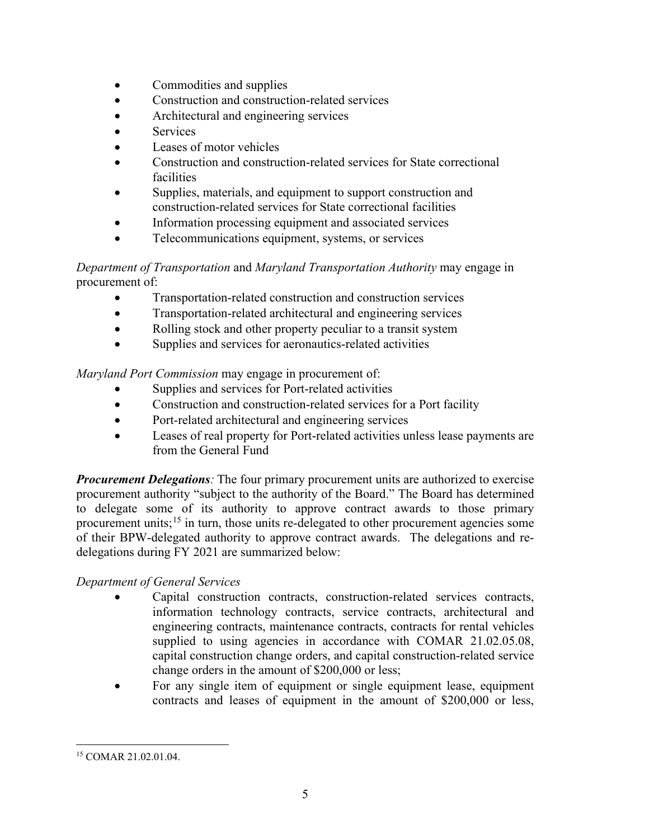- Commodities and supplies
- Construction and construction-related services
- Architectural and engineering services
- **Services**
- Leases of motor vehicles
- Construction and construction-related services for State correctional facilities
- Supplies, materials, and equipment to support construction and construction-related services for State correctional facilities
- Information processing equipment and associated services
- Telecommunications equipment, systems, or services

#### *Department of Transportation* and *Maryland Transportation Authority* may engage in procurement of:

- Transportation-related construction and construction services
- Transportation-related architectural and engineering services
- Rolling stock and other property peculiar to a transit system
- Supplies and services for aeronautics-related activities

*Maryland Port Commission* may engage in procurement of:

- Supplies and services for Port-related activities
- Construction and construction-related services for a Port facility
- Port-related architectural and engineering services
- Leases of real property for Port-related activities unless lease payments are from the General Fund

*Procurement Delegations*: The four primary procurement units are authorized to exercise procurement authority "subject to the authority of the Board." The Board has determined to delegate some of its authority to approve contract awards to those primary procurement units;<sup>[15](#page-6-0)</sup> in turn, those units re-delegated to other procurement agencies some of their BPW-delegated authority to approve contract awards. The delegations and redelegations during FY 2021 are summarized below:

#### *Department of General Services*

- Capital construction contracts, construction-related services contracts, information technology contracts, service contracts, architectural and engineering contracts, maintenance contracts, contracts for rental vehicles supplied to using agencies in accordance with COMAR 21.02.05.08, capital construction change orders, and capital construction-related service change orders in the amount of \$200,000 or less;
- For any single item of equipment or single equipment lease, equipment contracts and leases of equipment in the amount of \$200,000 or less,

<span id="page-6-0"></span><sup>15</sup> COMAR 21.02.01.04.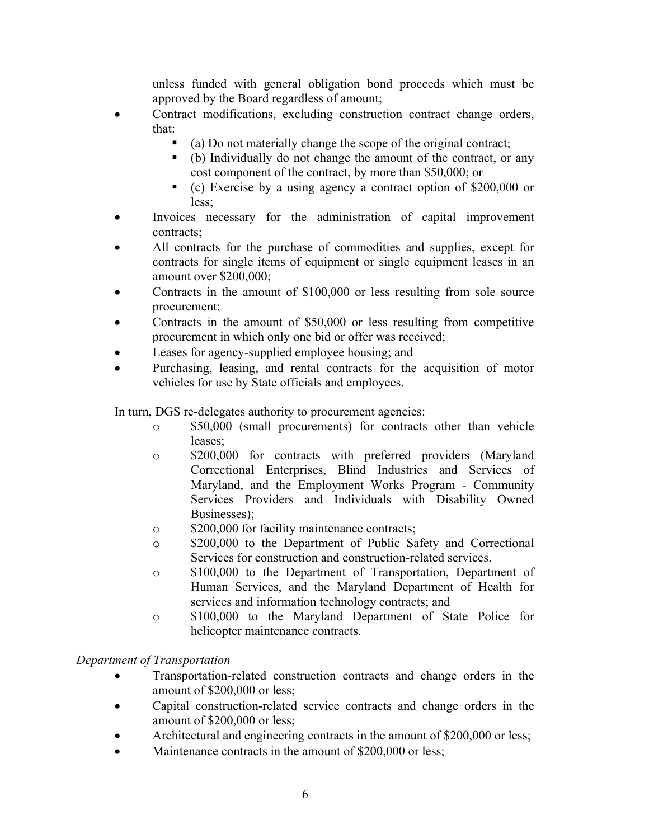unless funded with general obligation bond proceeds which must be approved by the Board regardless of amount;

- Contract modifications, excluding construction contract change orders, that:
	- (a) Do not materially change the scope of the original contract;
	- (b) Individually do not change the amount of the contract, or any cost component of the contract, by more than \$50,000; or
	- (c) Exercise by a using agency a contract option of \$200,000 or less;
- Invoices necessary for the administration of capital improvement contracts;
- All contracts for the purchase of commodities and supplies, except for contracts for single items of equipment or single equipment leases in an amount over \$200,000;
- Contracts in the amount of \$100,000 or less resulting from sole source procurement;
- Contracts in the amount of \$50,000 or less resulting from competitive procurement in which only one bid or offer was received;
- Leases for agency-supplied employee housing; and
- Purchasing, leasing, and rental contracts for the acquisition of motor vehicles for use by State officials and employees.

In turn, DGS re-delegates authority to procurement agencies:

- o \$50,000 (small procurements) for contracts other than vehicle leases;
- o \$200,000 for contracts with preferred providers (Maryland Correctional Enterprises, Blind Industries and Services of Maryland, and the Employment Works Program - Community Services Providers and Individuals with Disability Owned Businesses);
- o \$200,000 for facility maintenance contracts;
- o \$200,000 to the Department of Public Safety and Correctional Services for construction and construction-related services.
- o \$100,000 to the Department of Transportation, Department of Human Services, and the Maryland Department of Health for services and information technology contracts; and
- o \$100,000 to the Maryland Department of State Police for helicopter maintenance contracts.

#### *Department of Transportation*

- Transportation-related construction contracts and change orders in the amount of \$200,000 or less;
- Capital construction-related service contracts and change orders in the amount of \$200,000 or less;
- Architectural and engineering contracts in the amount of \$200,000 or less;
- Maintenance contracts in the amount of \$200,000 or less;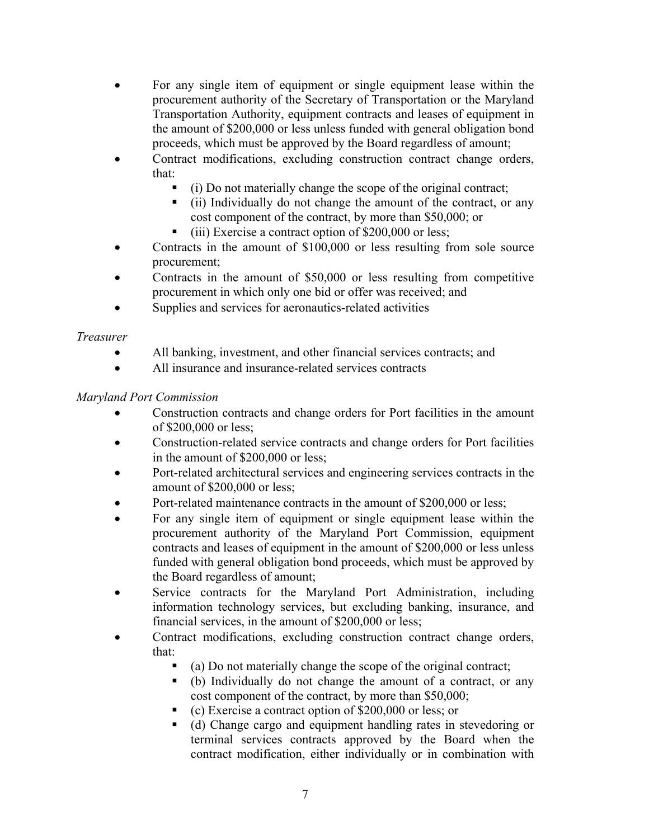- For any single item of equipment or single equipment lease within the procurement authority of the Secretary of Transportation or the Maryland Transportation Authority, equipment contracts and leases of equipment in the amount of \$200,000 or less unless funded with general obligation bond proceeds, which must be approved by the Board regardless of amount;
- Contract modifications, excluding construction contract change orders, that:
	- (i) Do not materially change the scope of the original contract;
	- (ii) Individually do not change the amount of the contract, or any cost component of the contract, by more than \$50,000; or
	- (iii) Exercise a contract option of \$200,000 or less;
- Contracts in the amount of \$100,000 or less resulting from sole source procurement;
- Contracts in the amount of \$50,000 or less resulting from competitive procurement in which only one bid or offer was received; and
- Supplies and services for aeronautics-related activities

#### *Treasurer*

- All banking, investment, and other financial services contracts; and
- All insurance and insurance-related services contracts

#### *Maryland Port Commission*

- Construction contracts and change orders for Port facilities in the amount of \$200,000 or less;
- Construction-related service contracts and change orders for Port facilities in the amount of \$200,000 or less;
- Port-related architectural services and engineering services contracts in the amount of \$200,000 or less;
- Port-related maintenance contracts in the amount of \$200,000 or less;
- For any single item of equipment or single equipment lease within the procurement authority of the Maryland Port Commission, equipment contracts and leases of equipment in the amount of \$200,000 or less unless funded with general obligation bond proceeds, which must be approved by the Board regardless of amount;
- Service contracts for the Maryland Port Administration, including information technology services, but excluding banking, insurance, and financial services, in the amount of \$200,000 or less;
- Contract modifications, excluding construction contract change orders, that:
	- (a) Do not materially change the scope of the original contract;
	- (b) Individually do not change the amount of a contract, or any cost component of the contract, by more than \$50,000;
	- (c) Exercise a contract option of \$200,000 or less; or
	- (d) Change cargo and equipment handling rates in stevedoring or terminal services contracts approved by the Board when the contract modification, either individually or in combination with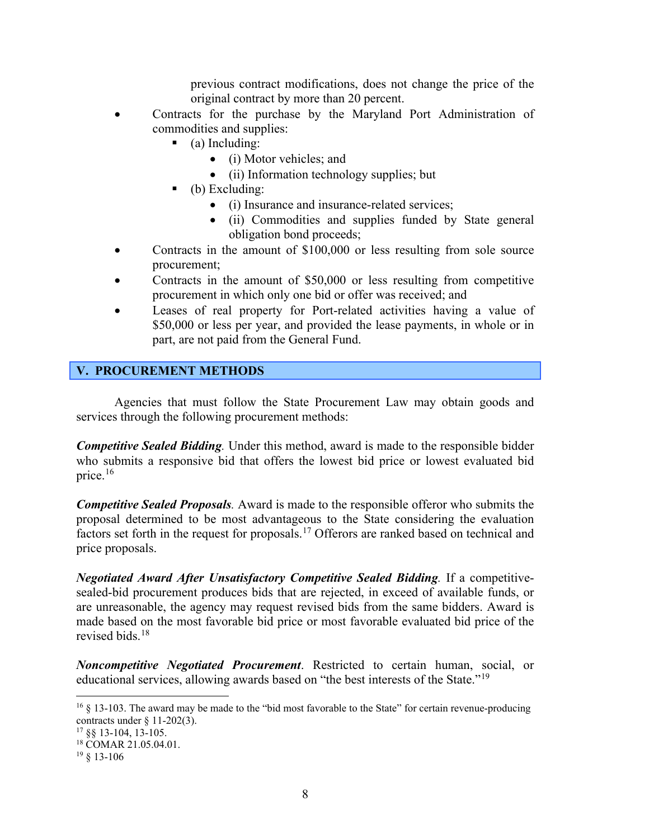previous contract modifications, does not change the price of the original contract by more than 20 percent.

- Contracts for the purchase by the Maryland Port Administration of commodities and supplies:
	- (a) Including:
		- (i) Motor vehicles; and
		- (ii) Information technology supplies; but
	- (b) Excluding:
		- (i) Insurance and insurance-related services;
		- (ii) Commodities and supplies funded by State general obligation bond proceeds;
- Contracts in the amount of \$100,000 or less resulting from sole source procurement;
- Contracts in the amount of \$50,000 or less resulting from competitive procurement in which only one bid or offer was received; and
- Leases of real property for Port-related activities having a value of \$50,000 or less per year, and provided the lease payments, in whole or in part, are not paid from the General Fund.

#### <span id="page-9-0"></span>**V. PROCUREMENT METHODS**

Agencies that must follow the State Procurement Law may obtain goods and services through the following procurement methods:

*Competitive Sealed Bidding.* Under this method, award is made to the responsible bidder who submits a responsive bid that offers the lowest bid price or lowest evaluated bid price. [16](#page-9-1)

*Competitive Sealed Proposals.* Award is made to the responsible offeror who submits the proposal determined to be most advantageous to the State considering the evaluation factors set forth in the request for proposals.<sup>[17](#page-9-2)</sup> Offerors are ranked based on technical and price proposals.

*Negotiated Award After Unsatisfactory Competitive Sealed Bidding.* If a competitivesealed-bid procurement produces bids that are rejected, in exceed of available funds, or are unreasonable, the agency may request revised bids from the same bidders. Award is made based on the most favorable bid price or most favorable evaluated bid price of the revised bids.[18](#page-9-3)

*Noncompetitive Negotiated Procurement*. Restricted to certain human, social, or educational services, allowing awards based on "the best interests of the State."[19](#page-9-4)

<span id="page-9-1"></span> $16 \& 13$ -103. The award may be made to the "bid most favorable to the State" for certain revenue-producing contracts under § 11-202(3). 17 §§ 13-104, 13-105.

<span id="page-9-2"></span>

<span id="page-9-3"></span><sup>18</sup> COMAR 21.05.04.01.

<span id="page-9-4"></span><sup>19</sup> § 13-106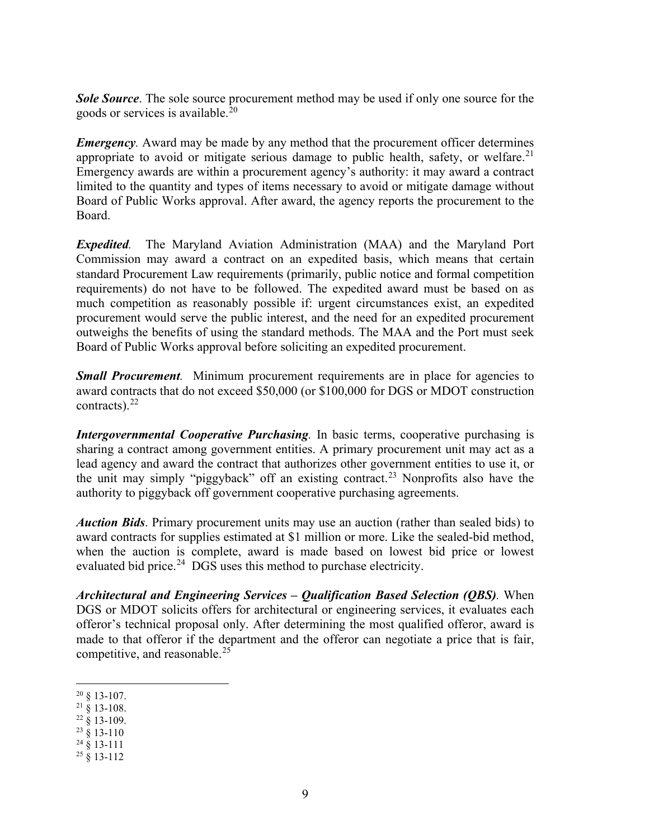*Sole Source*. The sole source procurement method may be used if only one source for the goods or services is available.<sup>[20](#page-10-0)</sup>

*Emergency*. Award may be made by any method that the procurement officer determines appropriate to avoid or mitigate serious damage to public health, safety, or welfare.<sup>[21](#page-10-1)</sup> Emergency awards are within a procurement agency's authority: it may award a contract limited to the quantity and types of items necessary to avoid or mitigate damage without Board of Public Works approval. After award, the agency reports the procurement to the Board.

*Expedited.* The Maryland Aviation Administration (MAA) and the Maryland Port Commission may award a contract on an expedited basis, which means that certain standard Procurement Law requirements (primarily, public notice and formal competition requirements) do not have to be followed. The expedited award must be based on as much competition as reasonably possible if: urgent circumstances exist, an expedited procurement would serve the public interest, and the need for an expedited procurement outweighs the benefits of using the standard methods. The MAA and the Port must seek Board of Public Works approval before soliciting an expedited procurement.

*Small Procurement.* Minimum procurement requirements are in place for agencies to award contracts that do not exceed \$50,000 (or \$100,000 for DGS or MDOT construction contracts). $22$ 

*Intergovernmental Cooperative Purchasing.* In basic terms, cooperative purchasing is sharing a contract among government entities. A primary procurement unit may act as a lead agency and award the contract that authorizes other government entities to use it, or the unit may simply "piggyback" off an existing contract.[23](#page-10-3) Nonprofits also have the authority to piggyback off government cooperative purchasing agreements.

*Auction Bids*. Primary procurement units may use an auction (rather than sealed bids) to award contracts for supplies estimated at \$1 million or more. Like the sealed-bid method, when the auction is complete, award is made based on lowest bid price or lowest evaluated bid price.<sup>24</sup> DGS uses this method to purchase electricity.

*Architectural and Engineering Services – Qualification Based Selection (QBS).* When DGS or MDOT solicits offers for architectural or engineering services, it evaluates each offeror's technical proposal only. After determining the most qualified offeror, award is made to that offeror if the department and the offeror can negotiate a price that is fair, competitive, and reasonable.[25](#page-10-5) 

- <span id="page-10-4"></span> $24 \times 13 - 111$
- <span id="page-10-5"></span> $25 \times 13 - 112$

<span id="page-10-0"></span> $20 \& 13 - 107$ .

<span id="page-10-1"></span> $^{21}$  § 13-108.

<span id="page-10-2"></span> $22\frac{8}{9}$  13-109.

<span id="page-10-3"></span> $23 \times 13 - 110$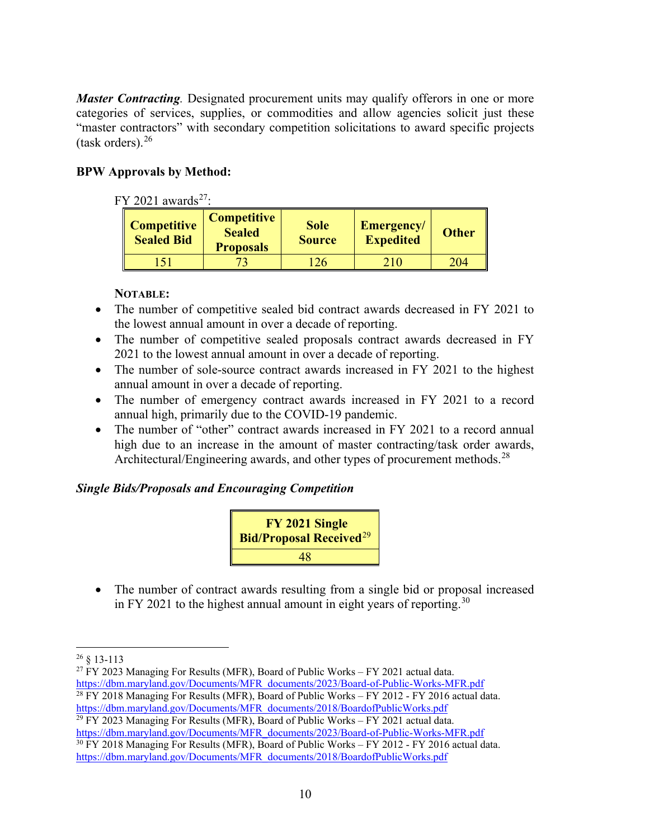*Master Contracting*. Designated procurement units may qualify offerors in one or more categories of services, supplies, or commodities and allow agencies solicit just these "master contractors" with secondary competition solicitations to award specific projects (task orders). $26$ 

#### **BPW Approvals by Method:**

| FY 2021 awards <sup>27</sup> :          |                                                         |                              |                                |              |  |  |
|-----------------------------------------|---------------------------------------------------------|------------------------------|--------------------------------|--------------|--|--|
| <b>Competitive</b><br><b>Sealed Bid</b> | <b>Competitive</b><br><b>Sealed</b><br><b>Proposals</b> | <b>Sole</b><br><b>Source</b> | Emergency/<br><b>Expedited</b> | <b>Other</b> |  |  |
|                                         |                                                         | 126                          | 210                            | 204          |  |  |

#### **NOTABLE:**

- The number of competitive sealed bid contract awards decreased in FY 2021 to the lowest annual amount in over a decade of reporting.
- The number of competitive sealed proposals contract awards decreased in FY 2021 to the lowest annual amount in over a decade of reporting.
- The number of sole-source contract awards increased in FY 2021 to the highest annual amount in over a decade of reporting.
- The number of emergency contract awards increased in FY 2021 to a record annual high, primarily due to the COVID-19 pandemic.
- The number of "other" contract awards increased in FY 2021 to a record annual high due to an increase in the amount of master contracting/task order awards, Architectural/Engineering awards, and other types of procurement methods.<sup>[28](#page-11-2)</sup>

#### *Single Bids/Proposals and Encouraging Competition*



• The number of contract awards resulting from a single bid or proposal increased in FY 2021 to the highest annual amount in eight years of reporting.<sup>[30](#page-11-4)</sup>

<span id="page-11-1"></span> $^{27}$  FY 2023 Managing For Results (MFR), Board of Public Works – FY 2021 actual data. [https://dbm.maryland.gov/Documents/MFR\\_documents/2023/Board-of-Public-Works-MFR.pdf](https://dbm.maryland.gov/Documents/MFR_documents/2023/Board-of-Public-Works-MFR.pdf)  $28$  FY 2018 Managing For Results (MFR), Board of Public Works – FY 2012 - FY 2016 actual data.

<span id="page-11-3"></span><span id="page-11-2"></span>[https://dbm.maryland.gov/Documents/MFR\\_documents/2018/BoardofPublicWorks.pdf](https://dbm.maryland.gov/Documents/MFR_documents/2018/BoardofPublicWorks.pdf)  $29$  FY 2023 Managing For Results (MFR), Board of Public Works – FY 2021 actual data. [https://dbm.maryland.gov/Documents/MFR\\_documents/2023/Board-of-Public-Works-MFR.pdf](https://dbm.maryland.gov/Documents/MFR_documents/2023/Board-of-Public-Works-MFR.pdf)

<span id="page-11-4"></span><sup>30</sup> FY 2018 Managing For Results (MFR), Board of Public Works – FY 2012 - FY 2016 actual data. [https://dbm.maryland.gov/Documents/MFR\\_documents/2018/BoardofPublicWorks.pdf](https://dbm.maryland.gov/Documents/MFR_documents/2018/BoardofPublicWorks.pdf)

<span id="page-11-0"></span><sup>26</sup> § 13-113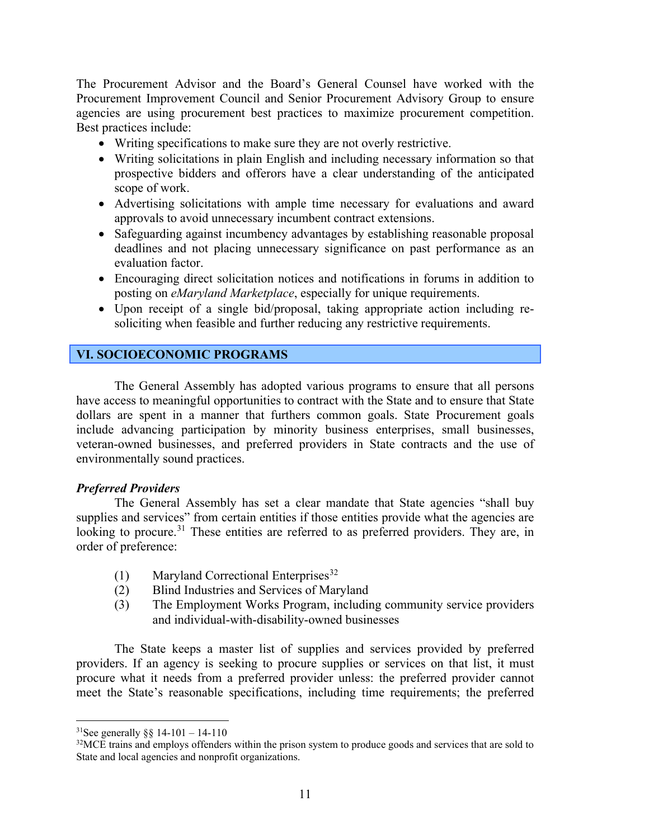The Procurement Advisor and the Board's General Counsel have worked with the Procurement Improvement Council and Senior Procurement Advisory Group to ensure agencies are using procurement best practices to maximize procurement competition. Best practices include:

- Writing specifications to make sure they are not overly restrictive.
- Writing solicitations in plain English and including necessary information so that prospective bidders and offerors have a clear understanding of the anticipated scope of work.
- Advertising solicitations with ample time necessary for evaluations and award approvals to avoid unnecessary incumbent contract extensions.
- Safeguarding against incumbency advantages by establishing reasonable proposal deadlines and not placing unnecessary significance on past performance as an evaluation factor.
- Encouraging direct solicitation notices and notifications in forums in addition to posting on *eMaryland Marketplace*, especially for unique requirements.
- Upon receipt of a single bid/proposal, taking appropriate action including resoliciting when feasible and further reducing any restrictive requirements.

#### <span id="page-12-0"></span>**VI. SOCIOECONOMIC PROGRAMS**

The General Assembly has adopted various programs to ensure that all persons have access to meaningful opportunities to contract with the State and to ensure that State dollars are spent in a manner that furthers common goals. State Procurement goals include advancing participation by minority business enterprises, small businesses, veteran-owned businesses, and preferred providers in State contracts and the use of environmentally sound practices.

#### *Preferred Providers*

The General Assembly has set a clear mandate that State agencies "shall buy supplies and services" from certain entities if those entities provide what the agencies are looking to procure.<sup>[31](#page-12-1)</sup> These entities are referred to as preferred providers. They are, in order of preference:

- (1) Maryland Correctional Enterprises<sup>[32](#page-12-2)</sup>
- (2) Blind Industries and Services of Maryland
- (3) The Employment Works Program, including community service providers and individual-with-disability-owned businesses

The State keeps a master list of supplies and services provided by preferred providers. If an agency is seeking to procure supplies or services on that list, it must procure what it needs from a preferred provider unless: the preferred provider cannot meet the State's reasonable specifications, including time requirements; the preferred

<span id="page-12-1"></span><sup>&</sup>lt;sup>31</sup>See generally  $\S$ § 14-101 – 14-110

<span id="page-12-2"></span><sup>&</sup>lt;sup>32</sup>MCE trains and employs offenders within the prison system to produce goods and services that are sold to State and local agencies and nonprofit organizations.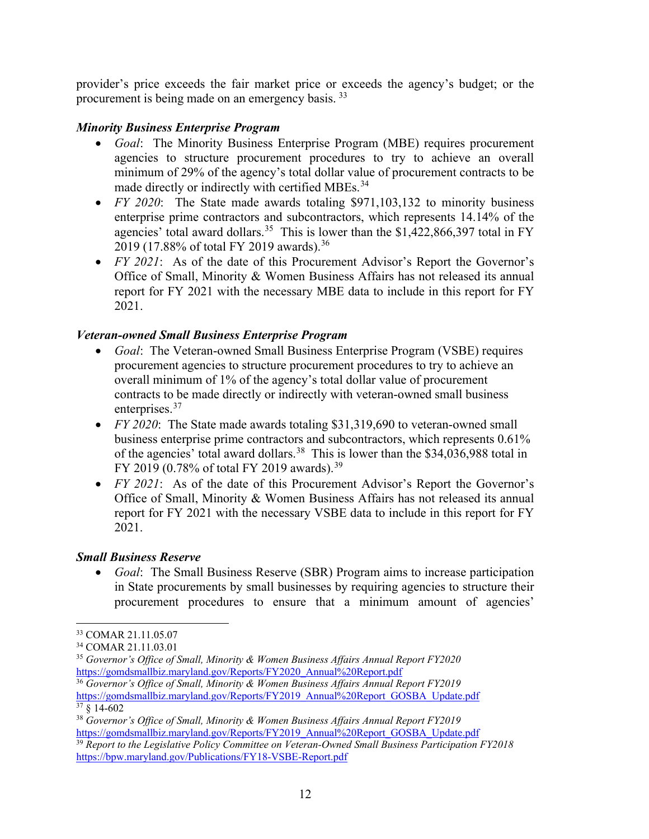provider's price exceeds the fair market price or exceeds the agency's budget; or the procurement is being made on an emergency basis. [33](#page-13-0)

#### *Minority Business Enterprise Program*

- *Goal*: The Minority Business Enterprise Program (MBE) requires procurement agencies to structure procurement procedures to try to achieve an overall minimum of 29% of the agency's total dollar value of procurement contracts to be made directly or indirectly with certified MBEs.<sup>[34](#page-13-1)</sup>
- *FY 2020*: The State made awards totaling \$971,103,132 to minority business enterprise prime contractors and subcontractors, which represents 14.14% of the agencies' total award dollars.<sup>[35](#page-13-2)</sup> This is lower than the \$1,422,866,397 total in FY 2019 (17.88% of total FY 2019 awards). [36](#page-13-3)
- *FY 2021*: As of the date of this Procurement Advisor's Report the Governor's Office of Small, Minority & Women Business Affairs has not released its annual report for FY 2021 with the necessary MBE data to include in this report for FY 2021.

#### *Veteran-owned Small Business Enterprise Program*

- *Goal*: The Veteran-owned Small Business Enterprise Program (VSBE) requires procurement agencies to structure procurement procedures to try to achieve an overall minimum of 1% of the agency's total dollar value of procurement contracts to be made directly or indirectly with veteran-owned small business enterprises.<sup>[37](#page-13-4)</sup>
- *FY 2020*:The State made awards totaling \$31,319,690 to veteran-owned small business enterprise prime contractors and subcontractors, which represents 0.61% of the agencies' total award dollars.<sup>38</sup> This is lower than the \$34,036,988 total in FY 2019 (0.78% of total FY 2019 awards).<sup>[39](#page-13-6)</sup>
- *FY 2021*: As of the date of this Procurement Advisor's Report the Governor's Office of Small, Minority & Women Business Affairs has not released its annual report for FY 2021 with the necessary VSBE data to include in this report for FY 2021.

#### *Small Business Reserve*

• *Goal*: The Small Business Reserve (SBR) Program aims to increase participation in State procurements by small businesses by requiring agencies to structure their procurement procedures to ensure that a minimum amount of agencies'

<span id="page-13-3"></span><sup>36</sup> *Governor's Office of Small, Minority & Women Business Affairs Annual Report FY2019* [https://gomdsmallbiz.maryland.gov/Reports/FY2019\\_Annual%20Report\\_GOSBA\\_Update.pdf](https://gomdsmallbiz.maryland.gov/Reports/FY2019_Annual%20Report_GOSBA_Update.pdf)  $37 \text{ }$ \$ 14-602

<span id="page-13-0"></span><sup>33</sup> COMAR 21.11.05.07

<span id="page-13-1"></span><sup>34</sup> COMAR 21.11.03.01

<span id="page-13-2"></span><sup>35</sup> *Governor's Office of Small, Minority & Women Business Affairs Annual Report FY2020*  [https://gomdsmallbiz.maryland.gov/Reports/FY2020\\_Annual%20Report.pdf](https://gomdsmallbiz.maryland.gov/Reports/FY2020_Annual%20Report.pdf)

<span id="page-13-5"></span><span id="page-13-4"></span><sup>38</sup> *Governor's Office of Small, Minority & Women Business Affairs Annual Report FY2019* [https://gomdsmallbiz.maryland.gov/Reports/FY2019\\_Annual%20Report\\_GOSBA\\_Update.pdf](https://gomdsmallbiz.maryland.gov/Reports/FY2019_Annual%20Report_GOSBA_Update.pdf)

<span id="page-13-6"></span><sup>39</sup> *Report to the Legislative Policy Committee on Veteran-Owned Small Business Participation FY2018* <https://bpw.maryland.gov/Publications/FY18-VSBE-Report.pdf>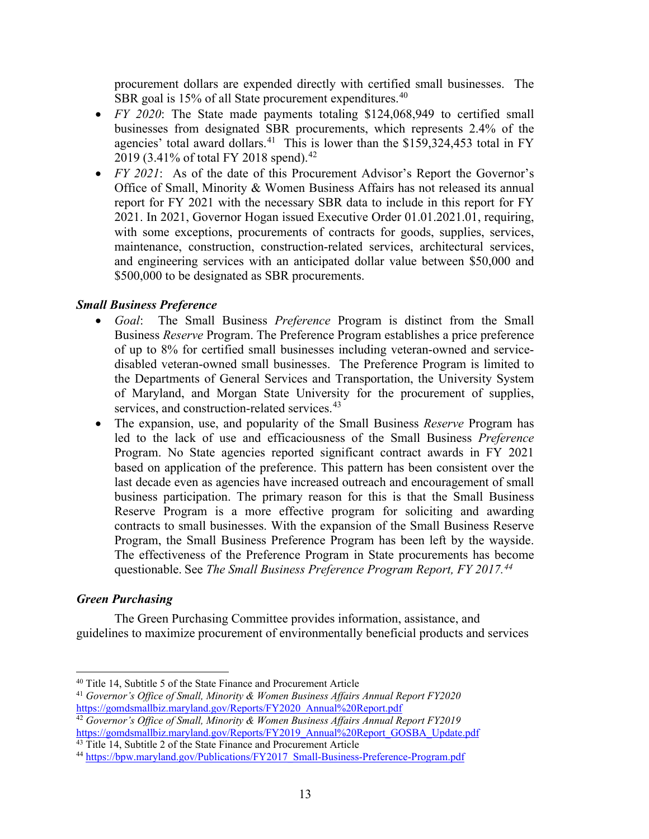procurement dollars are expended directly with certified small businesses. The SBR goal is 15% of all State procurement expenditures.<sup>40</sup>

- *FY 2020*: The State made payments totaling \$124,068,949 to certified small businesses from designated SBR procurements, which represents 2.4% of the agencies' total award dollars.<sup>[41](#page-14-1)</sup> This is lower than the  $$159,324,453$  total in FY 2019 (3.41% of total FY 2018 spend).<sup>[42](#page-14-2)</sup>
- *FY 2021*: As of the date of this Procurement Advisor's Report the Governor's Office of Small, Minority & Women Business Affairs has not released its annual report for FY 2021 with the necessary SBR data to include in this report for FY 2021. In 2021, Governor Hogan issued Executive Order 01.01.2021.01, requiring, with some exceptions, procurements of contracts for goods, supplies, services, maintenance, construction, construction-related services, architectural services, and engineering services with an anticipated dollar value between \$50,000 and \$500,000 to be designated as SBR procurements.

#### *Small Business Preference*

- *Goal*: The Small Business *Preference* Program is distinct from the Small Business *Reserve* Program. The Preference Program establishes a price preference of up to 8% for certified small businesses including veteran-owned and servicedisabled veteran-owned small businesses. The Preference Program is limited to the Departments of General Services and Transportation, the University System of Maryland, and Morgan State University for the procurement of supplies, services, and construction-related services.<sup>[43](#page-14-3)</sup>
- The expansion, use, and popularity of the Small Business *Reserve* Program has led to the lack of use and efficaciousness of the Small Business *Preference*  Program. No State agencies reported significant contract awards in FY 2021 based on application of the preference. This pattern has been consistent over the last decade even as agencies have increased outreach and encouragement of small business participation. The primary reason for this is that the Small Business Reserve Program is a more effective program for soliciting and awarding contracts to small businesses. With the expansion of the Small Business Reserve Program, the Small Business Preference Program has been left by the wayside. The effectiveness of the Preference Program in State procurements has become questionable. See *The Small Business Preference Program Report, FY 2017. [44](#page-14-4)*

#### *Green Purchasing*

The Green Purchasing Committee provides information, assistance, and guidelines to maximize procurement of environmentally beneficial products and services

<span id="page-14-0"></span><sup>40</sup> Title 14, Subtitle 5 of the State Finance and Procurement Article

<span id="page-14-1"></span><sup>41</sup> *Governor's Office of Small, Minority & Women Business Affairs Annual Report FY2020* [https://gomdsmallbiz.maryland.gov/Reports/FY2020\\_Annual%20Report.pdf](https://gomdsmallbiz.maryland.gov/Reports/FY2020_Annual%20Report.pdf)

<span id="page-14-2"></span><sup>42</sup> *Governor's Office of Small, Minority & Women Business Affairs Annual Report FY2019* [https://gomdsmallbiz.maryland.gov/Reports/FY2019\\_Annual%20Report\\_GOSBA\\_Update.pdf](https://gomdsmallbiz.maryland.gov/Reports/FY2019_Annual%20Report_GOSBA_Update.pdf)

<span id="page-14-3"></span><sup>&</sup>lt;sup>43</sup> Title 14, Subtitle 2 of the State Finance and Procurement Article

<span id="page-14-4"></span><sup>44</sup> [https://bpw.maryland.gov/Publications/FY2017\\_Small-Business-Preference-Program.pdf](https://bpw.maryland.gov/Publications/FY2017_Small-Business-Preference-Program.pdf)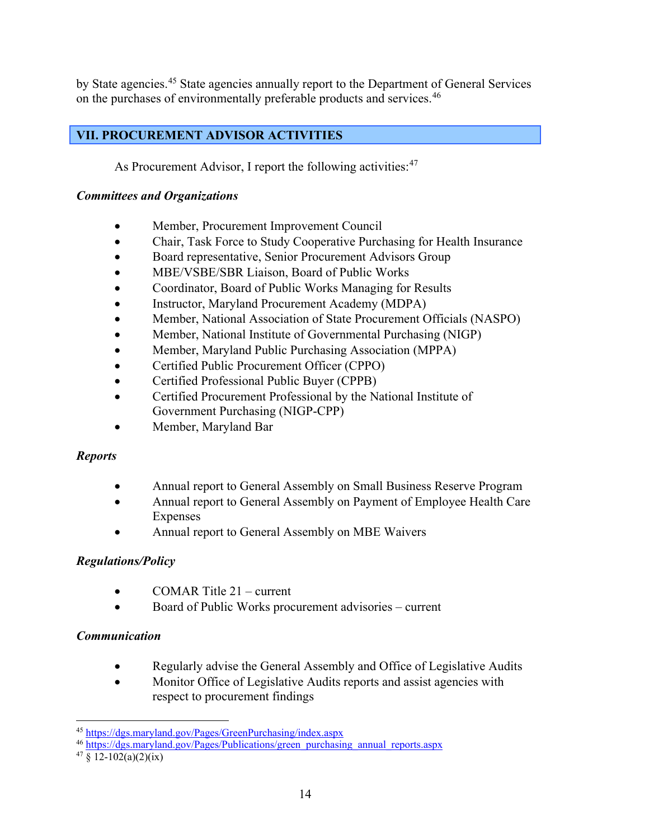by State agencies.<sup>[45](#page-15-1)</sup> State agencies annually report to the Department of General Services on the purchases of environmentally preferable products and services.<sup>[46](#page-15-2)</sup>

#### <span id="page-15-0"></span>**VII. PROCUREMENT ADVISOR ACTIVITIES**

As Procurement Advisor, I report the following activities:<sup>47</sup>

#### *Committees and Organizations*

- Member, Procurement Improvement Council
- Chair, Task Force to Study Cooperative Purchasing for Health Insurance
- Board representative, Senior Procurement Advisors Group
- MBE/VSBE/SBR Liaison, Board of Public Works
- Coordinator, Board of Public Works Managing for Results
- Instructor, Maryland Procurement Academy (MDPA)
- Member, National Association of State Procurement Officials (NASPO)
- Member, National Institute of Governmental Purchasing (NIGP)
- Member, Maryland Public Purchasing Association (MPPA)
- Certified Public Procurement Officer (CPPO)
- Certified Professional Public Buyer (CPPB)
- Certified Procurement Professional by the National Institute of Government Purchasing (NIGP-CPP)
- Member, Maryland Bar

#### *Reports*

- Annual report to General Assembly on Small Business Reserve Program
- Annual report to General Assembly on Payment of Employee Health Care Expenses
- Annual report to General Assembly on MBE Waivers

#### *Regulations/Policy*

- COMAR Title 21 current
- Board of Public Works procurement advisories current

#### *Communication*

- Regularly advise the General Assembly and Office of Legislative Audits
- Monitor Office of Legislative Audits reports and assist agencies with respect to procurement findings

<span id="page-15-1"></span><sup>45</sup> <https://dgs.maryland.gov/Pages/GreenPurchasing/index.aspx>

<span id="page-15-2"></span><sup>46</sup> [https://dgs.maryland.gov/Pages/Publications/green\\_purchasing\\_annual\\_reports.aspx](https://dgs.maryland.gov/Pages/Publications/green_purchasing_annual_reports.aspx)

<span id="page-15-3"></span> $47 \S$  12-102(a)(2)(ix)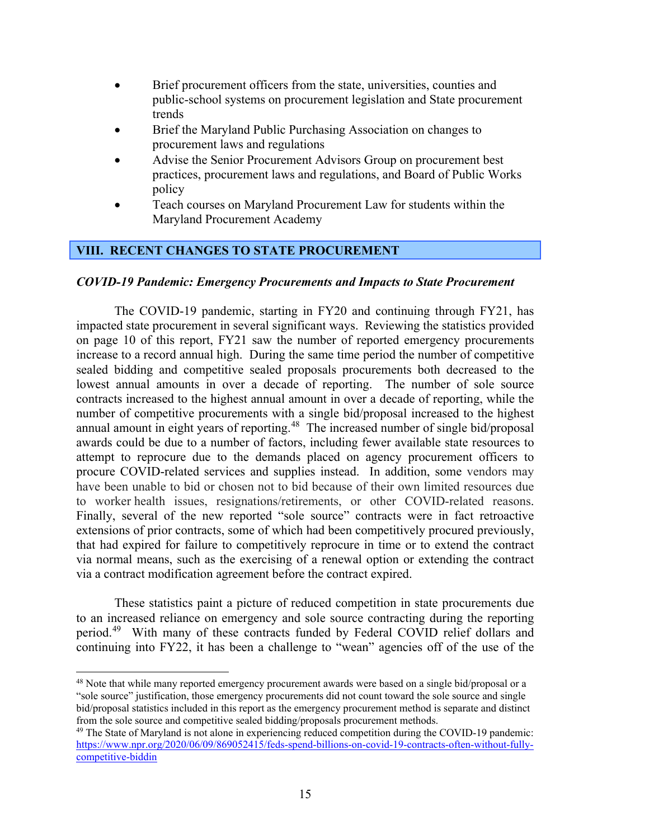- Brief procurement officers from the state, universities, counties and public-school systems on procurement legislation and State procurement trends
- Brief the Maryland Public Purchasing Association on changes to procurement laws and regulations
- Advise the Senior Procurement Advisors Group on procurement best practices, procurement laws and regulations, and Board of Public Works policy
- Teach courses on Maryland Procurement Law for students within the Maryland Procurement Academy

#### <span id="page-16-0"></span>**VIII. RECENT CHANGES TO STATE PROCUREMENT**

#### *COVID-19 Pandemic: Emergency Procurements and Impacts to State Procurement*

The COVID-19 pandemic, starting in FY20 and continuing through FY21, has impacted state procurement in several significant ways. Reviewing the statistics provided on page 10 of this report, FY21 saw the number of reported emergency procurements increase to a record annual high. During the same time period the number of competitive sealed bidding and competitive sealed proposals procurements both decreased to the lowest annual amounts in over a decade of reporting. The number of sole source contracts increased to the highest annual amount in over a decade of reporting, while the number of competitive procurements with a single bid/proposal increased to the highest annual amount in eight years of reporting.<sup>48</sup> The increased number of single bid/proposal awards could be due to a number of factors, including fewer available state resources to attempt to reprocure due to the demands placed on agency procurement officers to procure COVID-related services and supplies instead. In addition, some vendors may have been unable to bid or chosen not to bid because of their own limited resources due to worker health issues, resignations/retirements, or other COVID-related reasons. Finally, several of the new reported "sole source" contracts were in fact retroactive extensions of prior contracts, some of which had been competitively procured previously, that had expired for failure to competitively reprocure in time or to extend the contract via normal means, such as the exercising of a renewal option or extending the contract via a contract modification agreement before the contract expired.

These statistics paint a picture of reduced competition in state procurements due to an increased reliance on emergency and sole source contracting during the reporting period.[49](#page-16-2) With many of these contracts funded by Federal COVID relief dollars and continuing into FY22, it has been a challenge to "wean" agencies off of the use of the

<span id="page-16-1"></span><sup>48</sup> Note that while many reported emergency procurement awards were based on a single bid/proposal or a "sole source" justification, those emergency procurements did not count toward the sole source and single bid/proposal statistics included in this report as the emergency procurement method is separate and distinct from the sole source and competitive sealed bidding/proposals procurement methods.

<span id="page-16-2"></span><sup>49</sup> The State of Maryland is not alone in experiencing reduced competition during the COVID-19 pandemic: [https://www.npr.org/2020/06/09/869052415/feds-spend-billions-on-covid-19-contracts-often-without-fully](https://www.npr.org/2020/06/09/869052415/feds-spend-billions-on-covid-19-contracts-often-without-fully-competitive-biddin)[competitive-biddin](https://www.npr.org/2020/06/09/869052415/feds-spend-billions-on-covid-19-contracts-often-without-fully-competitive-biddin)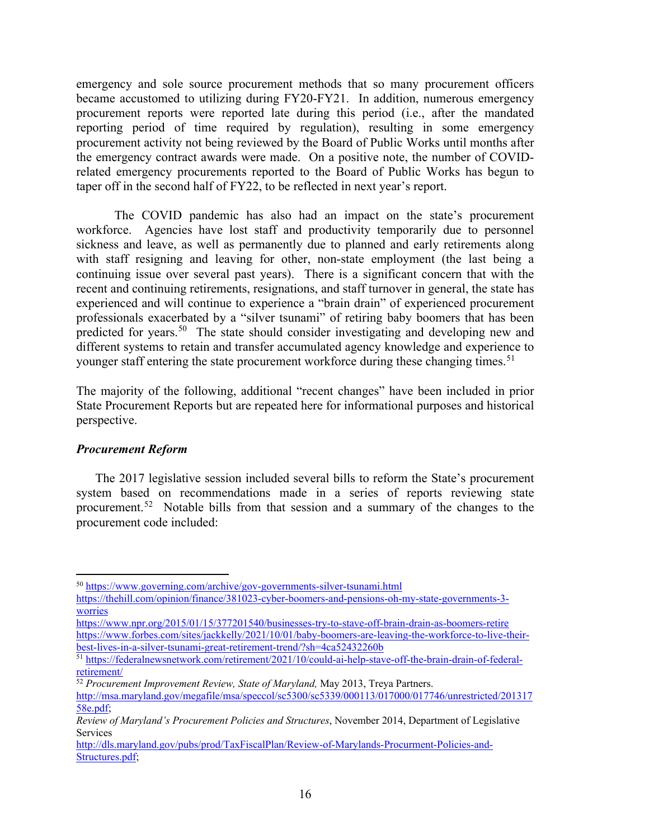emergency and sole source procurement methods that so many procurement officers became accustomed to utilizing during FY20-FY21. In addition, numerous emergency procurement reports were reported late during this period (i.e., after the mandated reporting period of time required by regulation), resulting in some emergency procurement activity not being reviewed by the Board of Public Works until months after the emergency contract awards were made. On a positive note, the number of COVIDrelated emergency procurements reported to the Board of Public Works has begun to taper off in the second half of FY22, to be reflected in next year's report.

The COVID pandemic has also had an impact on the state's procurement workforce. Agencies have lost staff and productivity temporarily due to personnel sickness and leave, as well as permanently due to planned and early retirements along with staff resigning and leaving for other, non-state employment (the last being a continuing issue over several past years). There is a significant concern that with the recent and continuing retirements, resignations, and staff turnover in general, the state has experienced and will continue to experience a "brain drain" of experienced procurement professionals exacerbated by a "silver tsunami" of retiring baby boomers that has been predicted for years.<sup>[50](#page-17-0)</sup> The state should consider investigating and developing new and different systems to retain and transfer accumulated agency knowledge and experience to younger staff entering the state procurement workforce during these changing times.<sup>[51](#page-17-1)</sup>

The majority of the following, additional "recent changes" have been included in prior State Procurement Reports but are repeated here for informational purposes and historical perspective.

#### *Procurement Reform*

The 2017 legislative session included several bills to reform the State's procurement system based on recommendations made in a series of reports reviewing state procurement.<sup>[52](#page-17-2)</sup> Notable bills from that session and a summary of the changes to the procurement code included:

<span id="page-17-0"></span><sup>50</sup> <https://www.governing.com/archive/gov-governments-silver-tsunami.html>

[https://thehill.com/opinion/finance/381023-cyber-boomers-and-pensions-oh-my-state-governments-3](https://thehill.com/opinion/finance/381023-cyber-boomers-and-pensions-oh-my-state-governments-3-worries) [worries](https://thehill.com/opinion/finance/381023-cyber-boomers-and-pensions-oh-my-state-governments-3-worries)

<https://www.npr.org/2015/01/15/377201540/businesses-try-to-stave-off-brain-drain-as-boomers-retire> [https://www.forbes.com/sites/jackkelly/2021/10/01/baby-boomers-are-leaving-the-workforce-to-live-their](https://www.forbes.com/sites/jackkelly/2021/10/01/baby-boomers-are-leaving-the-workforce-to-live-their-best-lives-in-a-silver-tsunami-great-retirement-trend/?sh=4ca52432260b)[best-lives-in-a-silver-tsunami-great-retirement-trend/?sh=4ca52432260b](https://www.forbes.com/sites/jackkelly/2021/10/01/baby-boomers-are-leaving-the-workforce-to-live-their-best-lives-in-a-silver-tsunami-great-retirement-trend/?sh=4ca52432260b)

<span id="page-17-1"></span><sup>51</sup> [https://federalnewsnetwork.com/retirement/2021/10/could-ai-help-stave-off-the-brain-drain-of-federal](https://federalnewsnetwork.com/retirement/2021/10/could-ai-help-stave-off-the-brain-drain-of-federal-retirement/)[retirement/](https://federalnewsnetwork.com/retirement/2021/10/could-ai-help-stave-off-the-brain-drain-of-federal-retirement/)

<span id="page-17-2"></span><sup>52</sup> *Procurement Improvement Review, State of Maryland,* May 2013, Treya Partners.

[http://msa.maryland.gov/megafile/msa/speccol/sc5300/sc5339/000113/017000/017746/unrestricted/201317](http://msa.maryland.gov/megafile/msa/speccol/sc5300/sc5339/000113/017000/017746/unrestricted/20131758e.pdf) [58e.pdf;](http://msa.maryland.gov/megafile/msa/speccol/sc5300/sc5339/000113/017000/017746/unrestricted/20131758e.pdf)

*Review of Maryland's Procurement Policies and Structures*, November 2014, Department of Legislative Services

[http://dls.maryland.gov/pubs/prod/TaxFiscalPlan/Review-of-Marylands-Procurment-Policies-and-](http://dls.maryland.gov/pubs/prod/TaxFiscalPlan/Review-of-Marylands-Procurment-Policies-and-Structures.pdf)[Structures.pdf;](http://dls.maryland.gov/pubs/prod/TaxFiscalPlan/Review-of-Marylands-Procurment-Policies-and-Structures.pdf)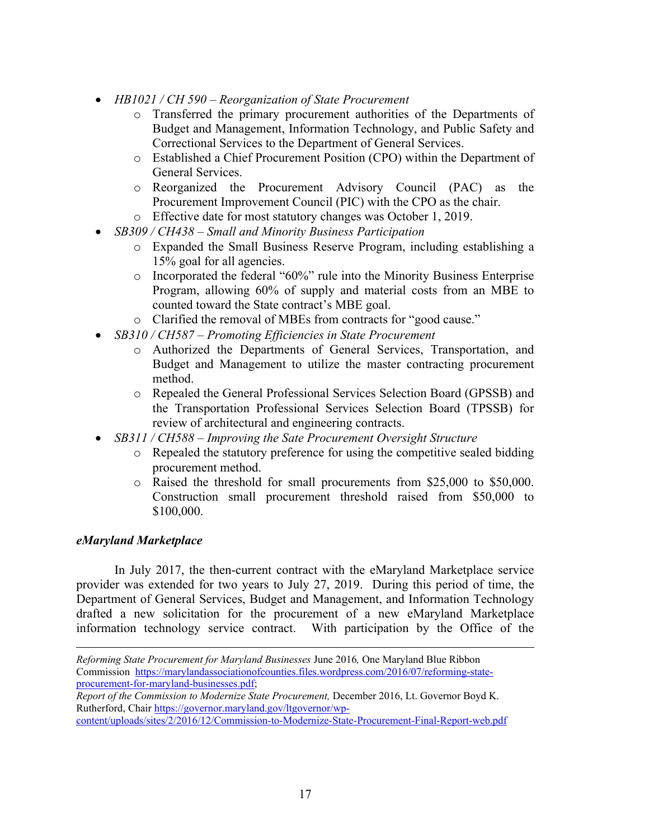- *HB1021 / CH 590 – Reorganization of State Procurement*
	- o Transferred the primary procurement authorities of the Departments of Budget and Management, Information Technology, and Public Safety and Correctional Services to the Department of General Services.
	- o Established a Chief Procurement Position (CPO) within the Department of General Services.
	- o Reorganized the Procurement Advisory Council (PAC) as the Procurement Improvement Council (PIC) with the CPO as the chair.
	- o Effective date for most statutory changes was October 1, 2019.
- *SB309 / CH438 – Small and Minority Business Participation*
	- o Expanded the Small Business Reserve Program, including establishing a 15% goal for all agencies.
	- o Incorporated the federal "60%" rule into the Minority Business Enterprise Program, allowing 60% of supply and material costs from an MBE to counted toward the State contract's MBE goal.
	- o Clarified the removal of MBEs from contracts for "good cause."
- *SB310 / CH587 – Promoting Efficiencies in State Procurement*
	- o Authorized the Departments of General Services, Transportation, and Budget and Management to utilize the master contracting procurement method.
	- o Repealed the General Professional Services Selection Board (GPSSB) and the Transportation Professional Services Selection Board (TPSSB) for review of architectural and engineering contracts.
- *SB311 / CH588 – Improving the Sate Procurement Oversight Structure*
	- o Repealed the statutory preference for using the competitive sealed bidding procurement method.
	- o Raised the threshold for small procurements from \$25,000 to \$50,000. Construction small procurement threshold raised from \$50,000 to \$100,000.

#### *eMaryland Marketplace*

In July 2017, the then-current contract with the eMaryland Marketplace service provider was extended for two years to July 27, 2019. During this period of time, the Department of General Services, Budget and Management, and Information Technology drafted a new solicitation for the procurement of a new eMaryland Marketplace information technology service contract. With participation by the Office of the

*Reforming State Procurement for Maryland Businesses* June 2016*,* One Maryland Blue Ribbon Commission [https://marylandassociationofcounties.files.wordpress.com/2016/07/reforming-state](https://marylandassociationofcounties.files.wordpress.com/2016/07/reforming-state-procurement-for-maryland-businesses.pdf)[procurement-for-maryland-businesses.pdf;](https://marylandassociationofcounties.files.wordpress.com/2016/07/reforming-state-procurement-for-maryland-businesses.pdf)

*Report of the Commission to Modernize State Procurement,* December 2016, Lt. Governor Boyd K. Rutherford, Chai[r https://governor.maryland.gov/ltgovernor/wp-](https://governor.maryland.gov/ltgovernor/wp-content/uploads/sites/2/2016/12/Commission-to-Modernize-State-Procurement-Final-Report-web.pdf)

[content/uploads/sites/2/2016/12/Commission-to-Modernize-State-Procurement-Final-Report-web.pdf](https://governor.maryland.gov/ltgovernor/wp-content/uploads/sites/2/2016/12/Commission-to-Modernize-State-Procurement-Final-Report-web.pdf)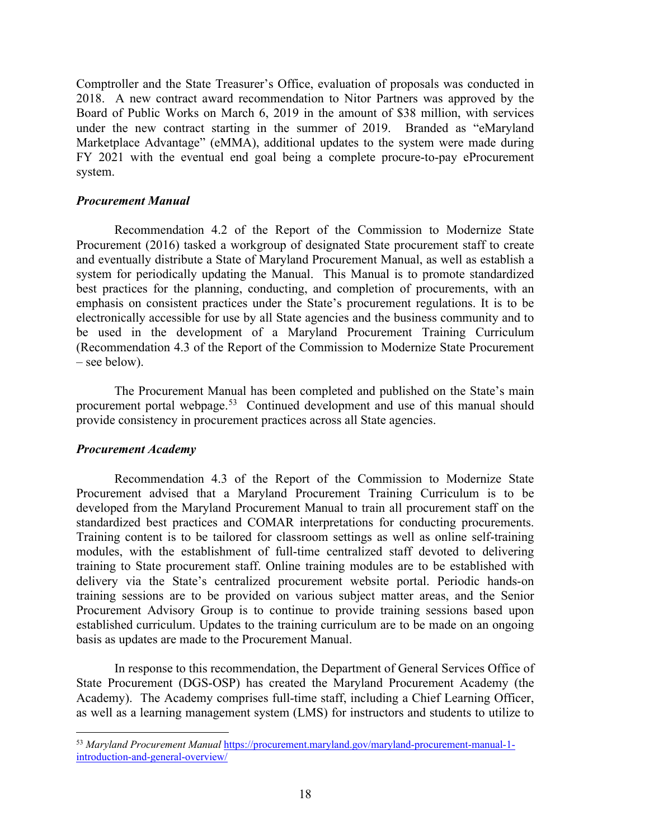Comptroller and the State Treasurer's Office, evaluation of proposals was conducted in 2018. A new contract award recommendation to Nitor Partners was approved by the Board of Public Works on March 6, 2019 in the amount of \$38 million, with services under the new contract starting in the summer of 2019. Branded as "eMaryland Marketplace Advantage" (eMMA), additional updates to the system were made during FY 2021 with the eventual end goal being a complete procure-to-pay eProcurement system.

#### *Procurement Manual*

Recommendation 4.2 of the Report of the Commission to Modernize State Procurement (2016) tasked a workgroup of designated State procurement staff to create and eventually distribute a State of Maryland Procurement Manual, as well as establish a system for periodically updating the Manual. This Manual is to promote standardized best practices for the planning, conducting, and completion of procurements, with an emphasis on consistent practices under the State's procurement regulations. It is to be electronically accessible for use by all State agencies and the business community and to be used in the development of a Maryland Procurement Training Curriculum (Recommendation 4.3 of the Report of the Commission to Modernize State Procurement – see below).

The Procurement Manual has been completed and published on the State's main procurement portal webpage.[53](#page-19-0) Continued development and use of this manual should provide consistency in procurement practices across all State agencies.

#### *Procurement Academy*

Recommendation 4.3 of the Report of the Commission to Modernize State Procurement advised that a Maryland Procurement Training Curriculum is to be developed from the Maryland Procurement Manual to train all procurement staff on the standardized best practices and COMAR interpretations for conducting procurements. Training content is to be tailored for classroom settings as well as online self-training modules, with the establishment of full-time centralized staff devoted to delivering training to State procurement staff. Online training modules are to be established with delivery via the State's centralized procurement website portal. Periodic hands-on training sessions are to be provided on various subject matter areas, and the Senior Procurement Advisory Group is to continue to provide training sessions based upon established curriculum. Updates to the training curriculum are to be made on an ongoing basis as updates are made to the Procurement Manual.

In response to this recommendation, the Department of General Services Office of State Procurement (DGS-OSP) has created the Maryland Procurement Academy (the Academy). The Academy comprises full-time staff, including a Chief Learning Officer, as well as a learning management system (LMS) for instructors and students to utilize to

<span id="page-19-0"></span><sup>53</sup> *Maryland Procurement Manual* [https://procurement.maryland.gov/maryland-procurement-manual-1](https://procurement.maryland.gov/maryland-procurement-manual-1-introduction-and-general-overview/) [introduction-and-general-overview/](https://procurement.maryland.gov/maryland-procurement-manual-1-introduction-and-general-overview/)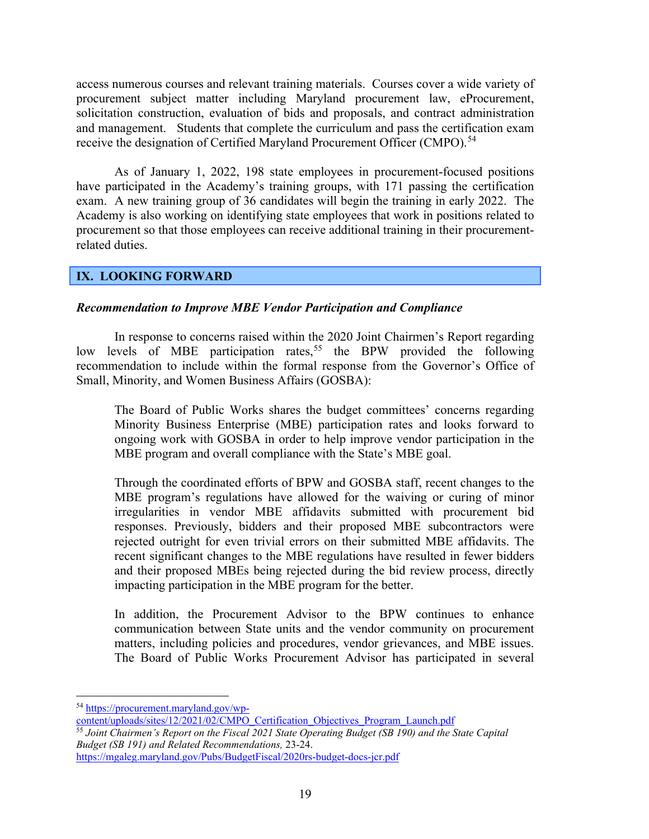access numerous courses and relevant training materials. Courses cover a wide variety of procurement subject matter including Maryland procurement law, eProcurement, solicitation construction, evaluation of bids and proposals, and contract administration and management. Students that complete the curriculum and pass the certification exam receive the designation of Certified Maryland Procurement Officer (CMPO).<sup>[54](#page-20-1)</sup>

As of January 1, 2022, 198 state employees in procurement-focused positions have participated in the Academy's training groups, with 171 passing the certification exam. A new training group of 36 candidates will begin the training in early 2022. The Academy is also working on identifying state employees that work in positions related to procurement so that those employees can receive additional training in their procurementrelated duties.

#### <span id="page-20-0"></span>**IX. LOOKING FORWARD**

#### *Recommendation to Improve MBE Vendor Participation and Compliance*

In response to concerns raised within the 2020 Joint Chairmen's Report regarding low levels of MBE participation rates,<sup>[55](#page-20-2)</sup> the BPW provided the following recommendation to include within the formal response from the Governor's Office of Small, Minority, and Women Business Affairs (GOSBA):

The Board of Public Works shares the budget committees' concerns regarding Minority Business Enterprise (MBE) participation rates and looks forward to ongoing work with GOSBA in order to help improve vendor participation in the MBE program and overall compliance with the State's MBE goal.

Through the coordinated efforts of BPW and GOSBA staff, recent changes to the MBE program's regulations have allowed for the waiving or curing of minor irregularities in vendor MBE affidavits submitted with procurement bid responses. Previously, bidders and their proposed MBE subcontractors were rejected outright for even trivial errors on their submitted MBE affidavits. The recent significant changes to the MBE regulations have resulted in fewer bidders and their proposed MBEs being rejected during the bid review process, directly impacting participation in the MBE program for the better.

In addition, the Procurement Advisor to the BPW continues to enhance communication between State units and the vendor community on procurement matters, including policies and procedures, vendor grievances, and MBE issues. The Board of Public Works Procurement Advisor has participated in several

<span id="page-20-1"></span><sup>54</sup> [https://procurement.maryland.gov/wp-](https://procurement.maryland.gov/wp-content/uploads/sites/12/2021/02/CMPO_Certification_Objectives_Program_Launch.pdf)

<span id="page-20-2"></span>[content/uploads/sites/12/2021/02/CMPO\\_Certification\\_Objectives\\_Program\\_Launch.pdf](https://procurement.maryland.gov/wp-content/uploads/sites/12/2021/02/CMPO_Certification_Objectives_Program_Launch.pdf) <sup>55</sup> *Joint Chairmen's Report on the Fiscal 2021 State Operating Budget (SB 190) and the State Capital Budget (SB 191) and Related Recommendations,* 23-24. <https://mgaleg.maryland.gov/Pubs/BudgetFiscal/2020rs-budget-docs-jcr.pdf>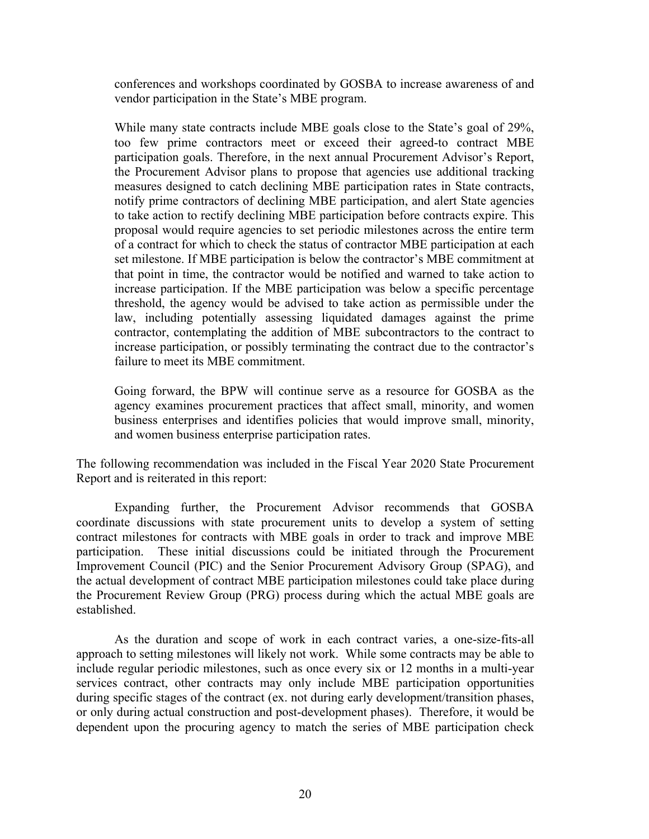conferences and workshops coordinated by GOSBA to increase awareness of and vendor participation in the State's MBE program.

While many state contracts include MBE goals close to the State's goal of 29%, too few prime contractors meet or exceed their agreed-to contract MBE participation goals. Therefore, in the next annual Procurement Advisor's Report, the Procurement Advisor plans to propose that agencies use additional tracking measures designed to catch declining MBE participation rates in State contracts, notify prime contractors of declining MBE participation, and alert State agencies to take action to rectify declining MBE participation before contracts expire. This proposal would require agencies to set periodic milestones across the entire term of a contract for which to check the status of contractor MBE participation at each set milestone. If MBE participation is below the contractor's MBE commitment at that point in time, the contractor would be notified and warned to take action to increase participation. If the MBE participation was below a specific percentage threshold, the agency would be advised to take action as permissible under the law, including potentially assessing liquidated damages against the prime contractor, contemplating the addition of MBE subcontractors to the contract to increase participation, or possibly terminating the contract due to the contractor's failure to meet its MBE commitment.

Going forward, the BPW will continue serve as a resource for GOSBA as the agency examines procurement practices that affect small, minority, and women business enterprises and identifies policies that would improve small, minority, and women business enterprise participation rates.

The following recommendation was included in the Fiscal Year 2020 State Procurement Report and is reiterated in this report:

Expanding further, the Procurement Advisor recommends that GOSBA coordinate discussions with state procurement units to develop a system of setting contract milestones for contracts with MBE goals in order to track and improve MBE participation. These initial discussions could be initiated through the Procurement Improvement Council (PIC) and the Senior Procurement Advisory Group (SPAG), and the actual development of contract MBE participation milestones could take place during the Procurement Review Group (PRG) process during which the actual MBE goals are established.

As the duration and scope of work in each contract varies, a one-size-fits-all approach to setting milestones will likely not work. While some contracts may be able to include regular periodic milestones, such as once every six or 12 months in a multi-year services contract, other contracts may only include MBE participation opportunities during specific stages of the contract (ex. not during early development/transition phases, or only during actual construction and post-development phases). Therefore, it would be dependent upon the procuring agency to match the series of MBE participation check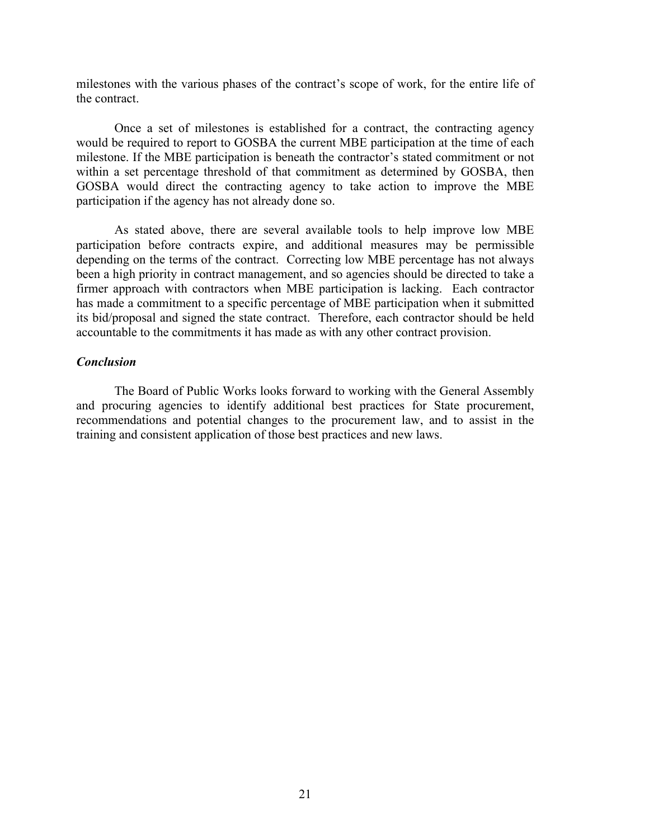milestones with the various phases of the contract's scope of work, for the entire life of the contract.

Once a set of milestones is established for a contract, the contracting agency would be required to report to GOSBA the current MBE participation at the time of each milestone. If the MBE participation is beneath the contractor's stated commitment or not within a set percentage threshold of that commitment as determined by GOSBA, then GOSBA would direct the contracting agency to take action to improve the MBE participation if the agency has not already done so.

As stated above, there are several available tools to help improve low MBE participation before contracts expire, and additional measures may be permissible depending on the terms of the contract. Correcting low MBE percentage has not always been a high priority in contract management, and so agencies should be directed to take a firmer approach with contractors when MBE participation is lacking. Each contractor has made a commitment to a specific percentage of MBE participation when it submitted its bid/proposal and signed the state contract. Therefore, each contractor should be held accountable to the commitments it has made as with any other contract provision.

#### *Conclusion*

The Board of Public Works looks forward to working with the General Assembly and procuring agencies to identify additional best practices for State procurement, recommendations and potential changes to the procurement law, and to assist in the training and consistent application of those best practices and new laws.